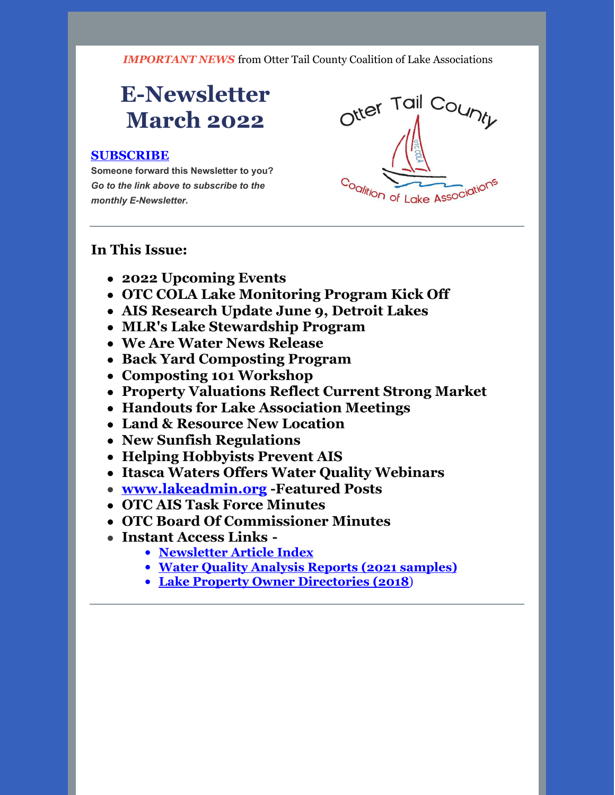*IMPORTANT NEWS* from Otter Tail County Coalition of Lake Associations

# **E-Newsletter March 2022**

#### **[SUBSCRIBE](https://visitor.r20.constantcontact.com/manage/optin?v=0016gC_WI-CN4wJGUJJs_h_8KsqP7MC2fcsEhfdoj_kFGgDyQ3XHJ3YmYowOgAgbwxr_OtkSl70OT0KaCF4hr6hCfMn7SGpQ1-FRzt1EIIqFAiQdmTJ5pPNxZyMeT5JHsn-qhGYgG0AfqJWYtCaA8j-VPqVTxLa0FSjz2nOMPrI28k%3D)**

**Someone forward this Newsletter to you?** *Go to the link above to subscribe to the monthly E-Newsletter.*



#### **In This Issue:**

- **2022 Upcoming Events**
- **OTC COLA Lake Monitoring Program Kick Off**
- **AIS Research Update June 9, Detroit Lakes**
- **MLR's Lake Stewardship Program**
- **We Are Water News Release**
- **Back Yard Composting Program**
- **Composting 101 Workshop**
- **Property Valuations Reflect Current Strong Market**
- **Handouts for Lake Association Meetings**
- **Land & Resource New Location**
- **New Sunfish Regulations**
- **Helping Hobbyists Prevent AIS**
- **Itasca Waters Offers Water Quality Webinars**
- **[www.lakeadmin.org](http://www.lakeadmin.org) -Featured Posts**
- **OTC AIS Task Force Minutes**
- **OTC Board Of Commissioner Minutes**
- **Instant Access Links -**
	- **[Newsletter](http://ottertailcountycola.org/newsletter-article-index/) Article Index**
	- **Water Quality Analysis Reports (2021 [samples\)](https://drive.google.com/drive/folders/1oA6fyrRi-Y3ivybRbmdV946LQXNbcm68?usp=sharing)**
	- **Lake Property Owner [Directories](https://drive.google.com/open?id=1GCTdWuN6D8sSS4Iw5CYs7fx7chTky50k) (2018**)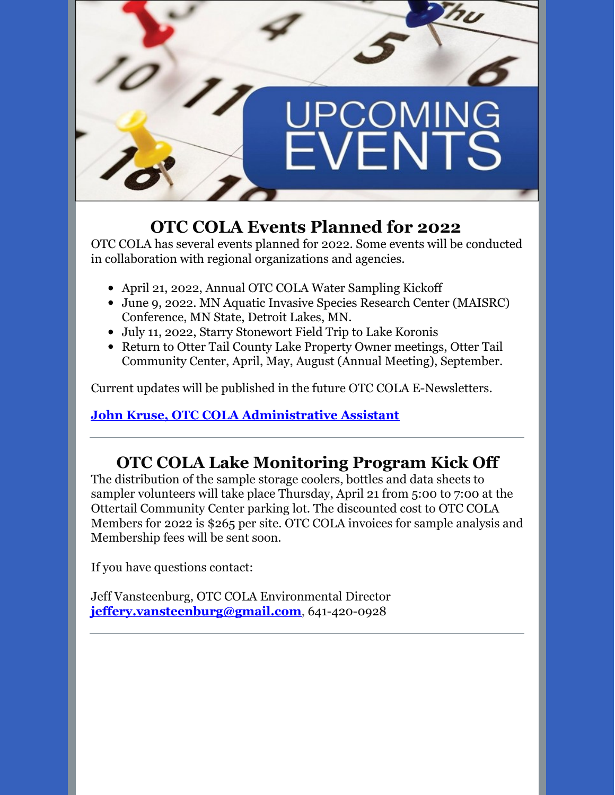

# **OTC COLA Events Planned for 2022**

OTC COLA has several events planned for 2022. Some events will be conducted in collaboration with regional organizations and agencies.

- April 21, 2022, Annual OTC COLA Water Sampling Kickoff
- June 9, 2022. MN Aquatic Invasive Species Research Center (MAISRC) Conference, MN State, Detroit Lakes, MN.
- July 11, 2022, Starry Stonewort Field Trip to Lake Koronis
- Return to Otter Tail County Lake Property Owner meetings, Otter Tail Community Center, April, May, August (Annual Meeting), September.

Current updates will be published in the future OTC COLA E-Newsletters.

#### **John Kruse, OTC COLA [Administrative](mailto:otccola2@gmail.com) Assistant**

# **OTC COLA Lake Monitoring Program Kick Off**

The distribution of the sample storage coolers, bottles and data sheets to sampler volunteers will take place Thursday, April 21 from 5:00 to 7:00 at the Ottertail Community Center parking lot. The discounted cost to OTC COLA Members for 2022 is \$265 per site. OTC COLA invoices for sample analysis and Membership fees will be sent soon.

If you have questions contact:

Jeff Vansteenburg, OTC COLA Environmental Director **[jeffery.vansteenburg@gmail.com](mailto:jeffery.vansteenburg@gmail.com)**, 641-420-0928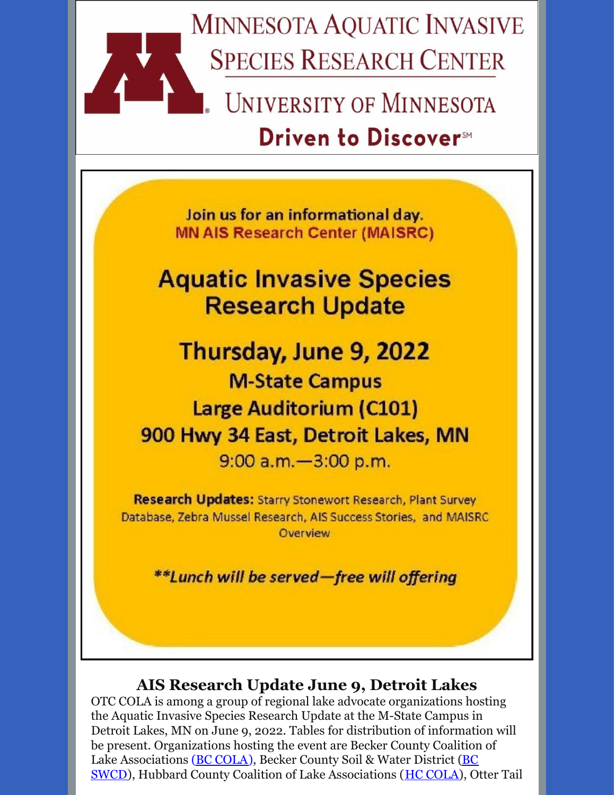

# **Driven to Discover**™

Join us for an informational day. **MN AIS Research Center (MAISRC)** 

# **Aquatic Invasive Species Research Update**

Thursday, June 9, 2022 **M-State Campus Large Auditorium (C101)** 900 Hwy 34 East, Detroit Lakes, MN 9:00 a.m. - 3:00 p.m.

**Research Updates: Starry Stonewort Research, Plant Survey** Database, Zebra Mussel Research, AIS Success Stories, and MAISRC Overview

\*\*Lunch will be served-free will offering

## **AIS Research Update June 9, Detroit Lakes**

OTC COLA is among a group of regional lake advocate organizations hosting the Aquatic Invasive Species Research Update at the M-State Campus in Detroit Lakes, MN on June 9, 2022. Tables for distribution of information will be present. Organizations hosting the event are Becker County Coalition of Lake [Associations](https://www.co.becker.mn.us/dept/soil_water/) (**BC [COLA](https://beckercola.org/)**), Becker County Soil & Water District (**BC**) SWCD), Hubbard County Coalition of Lake Associations (HC [COLA](http://www.hubbardcolamn.org/index.html)), Otter Tail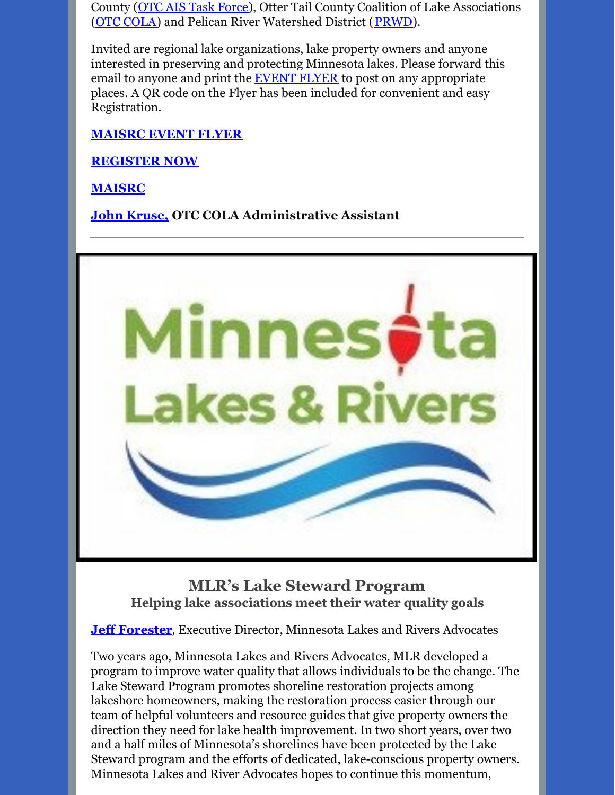County (OTC AIS Task [Force](https://ottertailcountymn.us/department/aquatic-invasive-species/)), Otter Tail County Coalition of Lake Associations (OTC [COLA\)](http://otccola.org/) and Pelican River Watershed District ([PRWD](https://prwd.org/)).

Invited are regional lake organizations, lake property owners and anyone interested in preserving and protecting Minnesota lakes. Please forward this email to anyone and print the **[EVENT](https://drive.google.com/file/d/1BmZ3jlKLvuY7_ijJaGyjc3bysjDchnDU/view) FLYER** to post on any appropriate places. A QR code on the Flyer has been included for convenient and easy Registration.

#### **[MAISRC](https://drive.google.com/file/d/1BmZ3jlKLvuY7_ijJaGyjc3bysjDchnDU/view?usp=sharing) EVENT FLYER**

#### **[REGISTER](https://events.r20.constantcontact.com/register/eventReg?oeidk=a07ej1ium3xcdb6eea3&oseq=&c=&ch=) NOW**

**[MAISRC](https://maisrc.umn.edu/)**

#### **John [Kruse,](mailto:otccola2@gmail.com) OTC COLA Administrative Assistant**



**MLR's Lake Steward Program Helping lake associations meet their water quality goals**

**Jeff [Forester](mailto:jeff@mnlakesandrivers.org)**, Executive Director, Minnesota Lakes and Rivers Advocates

Two years ago, Minnesota Lakes and Rivers Advocates, MLR developed a program to improve water quality that allows individuals to be the change. The Lake Steward Program promotes shoreline restoration projects among lakeshore homeowners, making the restoration process easier through our team of helpful volunteers and resource guides that give property owners the direction they need for lake health improvement. In two short years, over two and a half miles of Minnesota's shorelines have been protected by the Lake Steward program and the efforts of dedicated, lake-conscious property owners. Minnesota Lakes and River Advocates hopes to continue this momentum,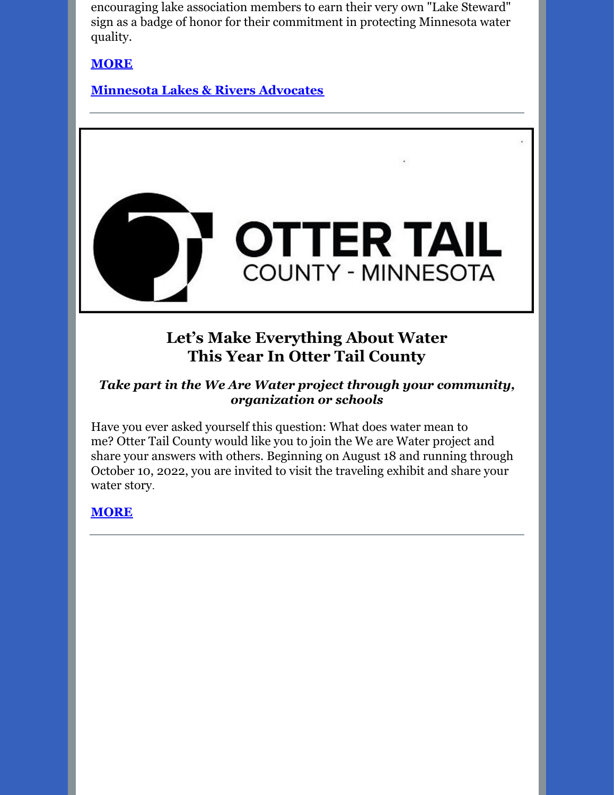encouraging lake association members to earn their very own "Lake Steward" sign as a badge of honor for their commitment in protecting Minnesota water quality.

**[MORE](https://drive.google.com/file/d/1b92pYdKDCWOHdAU0xbzzZvPNUk-IqGLD/view?usp=sharing)**

**[Minnesota](https://mnlakesandrivers.org/) Lakes & Rivers Advocates**



# **Let's Make Everything About Water This Year In Otter Tail County**

#### *Take part in the We Are Water project through your community, organization or schools*

Have you ever asked yourself this question: What does water mean to me? Otter Tail County would like you to join the We are Water project and share your answers with others. Beginning on August 18 and running through October 10, 2022, you are invited to visit the traveling exhibit and share your water story.

#### **[MORE](https://drive.google.com/file/d/1ZRds8DzEWXEnN6XbCK4r5KErG6H9TFTX/view?usp=sharing)**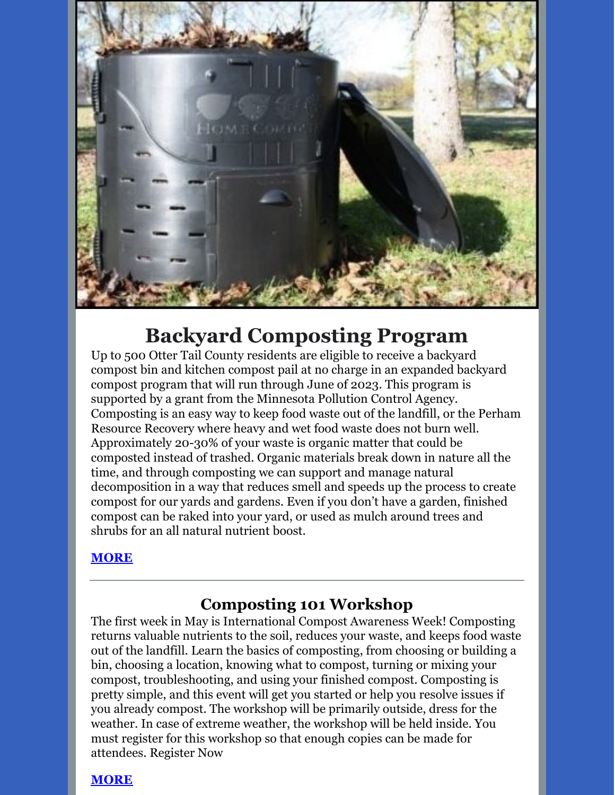

# **Backyard Composting Program**

Up to 500 Otter Tail County residents are eligible to receive a backyard compost bin and kitchen compost pail at no charge in an expanded backyard compost program that will run through June of 2023. This program is supported by a grant from the Minnesota Pollution Control Agency. Composting is an easy way to keep food waste out of the landfill, or the Perham Resource Recovery where heavy and wet food waste does not burn well. Approximately 20-30% of your waste is organic matter that could be composted instead of trashed. Organic materials break down in nature all the time, and through composting we can support and manage natural decomposition in a way that reduces smell and speeds up the process to create compost for our yards and gardens. Even if you don't have a garden, finished compost can be raked into your yard, or used as mulch around trees and shrubs for an all natural nutrient boost.

#### **[MORE](https://ottertailcountymn.us/content-page/backyard-composting-program/)**

## **Composting 101 Workshop**

The first week in May is International Compost Awareness Week! Composting returns valuable nutrients to the soil, reduces your waste, and keeps food waste out of the landfill. Learn the basics of composting, from choosing or building a bin, choosing a location, knowing what to compost, turning or mixing your compost, troubleshooting, and using your finished compost. Composting is pretty simple, and this event will get you started or help you resolve issues if you already compost. The workshop will be primarily outside, dress for the weather. In case of extreme weather, the workshop will be held inside. You must register for this workshop so that enough copies can be made for attendees. [Register](https://www.signupgenius.com/go/60B0545A9A92FA2F85-composting) Now

#### **[MORE](https://ottertailcountymn.us/events/composting-101-workshop-3/)**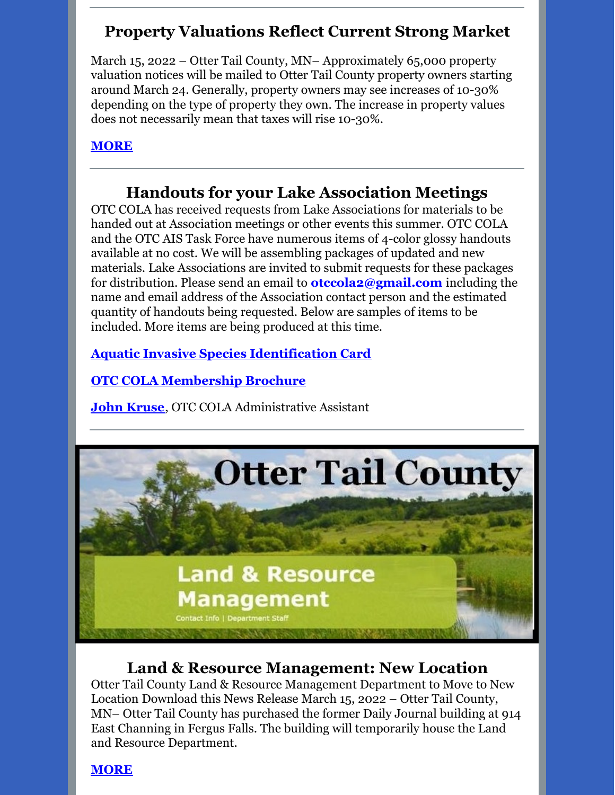# **Property Valuations Reflect Current Strong Market**

March 15, 2022 – Otter Tail County, MN– Approximately 65,000 property valuation notices will be mailed to Otter Tail County property owners starting around March 24. Generally, property owners may see increases of 10-30% depending on the type of property they own. The increase in property values does not necessarily mean that taxes will rise 10-30%.

#### **[MORE](https://drive.google.com/file/d/1_GEj0wwgieH-Gjv4c3ZDkFzemXFY3N6Y/view?usp=sharing)**

## **Handouts for your Lake Association Meetings**

OTC COLA has received requests from Lake Associations for materials to be handed out at Association meetings or other events this summer. OTC COLA and the OTC AIS Task Force have numerous items of 4-color glossy handouts available at no cost. We will be assembling packages of updated and new materials. Lake Associations are invited to submit requests for these packages for distribution. Please send an email to **otccola2@gmail.com** including the name and email address of the Association contact person and the estimated quantity of handouts being requested. Below are samples of items to be included. More items are being produced at this time.

**Aquatic Invasive Species [Identification](https://drive.google.com/file/d/1aUWzicgGG6baz8JKgs03DhLdllWbyI6_/view?usp=sharing) Card**

**OTC COLA [Membership](https://drive.google.com/file/d/1tXrr7qPbdu57FgRruJJMFV2ord41bZ6c/view?usp=sharing) Brochure**

**John [Kruse](mailto:otccola2@gmail.com)**, OTC COLA Administrative Assistant



## **Land & Resource Management: New Location**

Otter Tail County Land & Resource Management Department to Move to New Location Download this News Release March 15, 2022 – Otter Tail County, MN– Otter Tail County has purchased the former Daily Journal building at 914 East Channing in Fergus Falls. The building will temporarily house the Land and Resource Department.

**[MORE](https://drive.google.com/file/d/1xVLkksIHgWL4U9YknKR09tNwWSR2LBWj/view?usp=sharing)**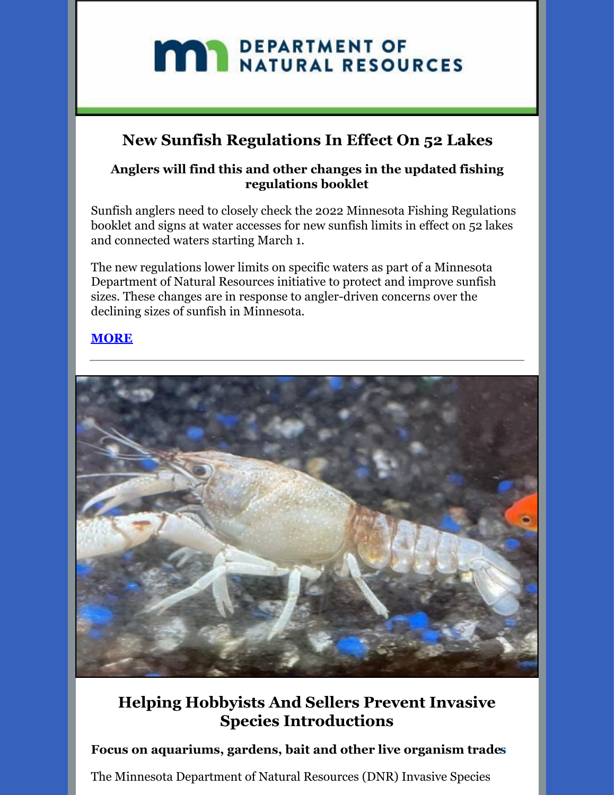# **MAY DEPARTMENT OF NATURAL RESOURCES**

# **New Sunfish Regulations In Effect On 52 Lakes**

#### **Anglers will find this and other changes in the updated fishing regulations booklet**

Sunfish anglers need to closely check the 2022 Minnesota Fishing Regulations booklet and signs at water accesses for new sunfish limits in effect on 52 lakes and connected waters starting March 1.

The new regulations lower limits on specific waters as part of a Minnesota Department of Natural Resources initiative to protect and improve sunfish sizes. These changes are in response to angler-driven concerns over the declining sizes of sunfish in Minnesota.

#### **[MORE](https://drive.google.com/file/d/114DhUHlEwFu5Gj1olLXNC4kuG9uNvSDt/view?usp=sharing)**



# **Helping Hobbyists And Sellers Prevent Invasive Species Introductions**

#### **Focus on aquariums, gardens, bait and other live organism trades**

The Minnesota Department of Natural Resources (DNR) Invasive Species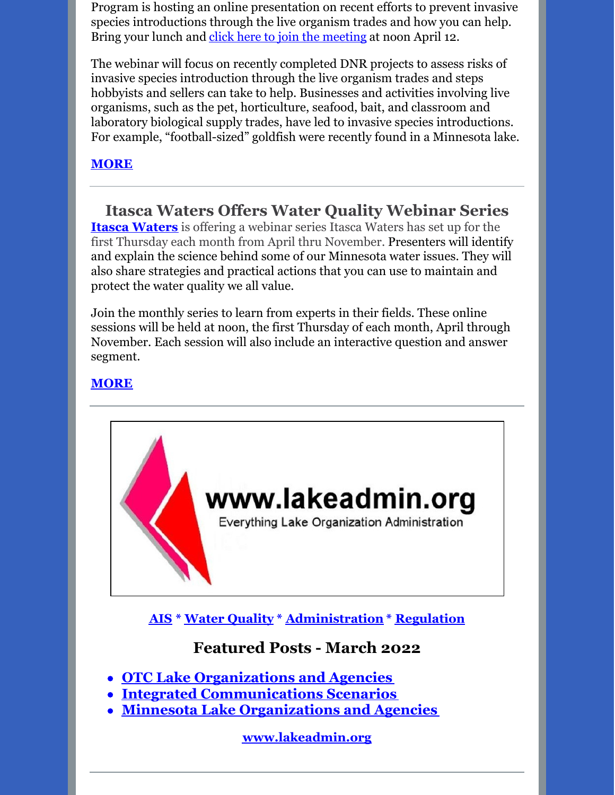Program is hosting an online presentation on recent efforts to prevent invasive species introductions through the live organism trades and how you can help. Bring your lunch and click here to join the [meeting](https://gcc02.safelinks.protection.outlook.com/ap/t-59584e83/?url=https%3A%2F%2Fteams.microsoft.com%2Fl%2Fmeetup-join%2F19%253ameeting_YzVhYmViZTAtNjE5MC00YjhmLThiZmUtMjJlYzA3NWRiZmU5%2540thread.v2%2F0%3Fcontext%3D%257b%2522Tid%2522%253a%2522eb14b046-24c4-4519-8f26-b89c2159828c%2522%252c%2522Oid%2522%253a%25220e313ac0-4846-400b-a9e8-9f725f4dcd95%2522%257d&data=04%7C01%7Cgreg.husak%40state.mn.us%7C107a73d8f2764c80e54f08da0dd485d2%7Ceb14b04624c445198f26b89c2159828c%7C0%7C0%7C637837503693514228%7CUnknown%7CTWFpbGZsb3d8eyJWIjoiMC4wLjAwMDAiLCJQIjoiV2luMzIiLCJBTiI6Ik1haWwiLCJXVCI6Mn0%3D%7C3000&sdata=bRTWBvfth54WKWKxiNElTdyrkMcgi2yMFT3Zq%2FhmZ3g%3D&reserved=0) at noon April 12.

The webinar will focus on recently completed DNR projects to assess risks of invasive species introduction through the live organism trades and steps hobbyists and sellers can take to help. Businesses and activities involving live organisms, such as the pet, horticulture, seafood, bait, and classroom and laboratory biological supply trades, have led to invasive species introductions. For example, "football-sized" goldfish were recently found in a Minnesota lake.

#### **[MORE](https://drive.google.com/file/d/1MYQ49rQx2iG38ctY0fPy7UsD25YfeEY6/view?usp=sharing)**

**Itasca Waters Offers Water Quality Webinar Series Itasca [Waters](https://itascawaters.org/)** is offering a webinar series Itasca Waters has set up for the first Thursday each month from April thru November. Presenters will identify and explain the science behind some of our Minnesota water issues. They will also share strategies and practical actions that you can use to maintain and protect the water quality we all value.

Join the monthly series to learn from experts in their fields. These online sessions will be held at noon, the first Thursday of each month, April through November. Each session will also include an interactive question and answer segment.

#### **[MORE](https://itascawaters.org/waterwisdom)**



**[AIS](https://lakeadmin.org/category/ais/) \* Water [Quality](https://lakeadmin.org/category/waterquality/) \* [Administration](https://lakeadmin.org/category/administration/) \* [Regulation](https://lakeadmin.org/category/regulation/)**

#### **Featured Posts - March 2022**

- **OTC Lake [Organizations](https://lakeadmin.org/ottertailcoorganizationsandagencies/) and Agencies**
- **Integrated [Communications](https://lakeadmin.org/integratedcommunications/) Scenarios**
- **Minnesota Lake [Organizations](https://lakeadmin.org/mnlakeorganizationsandagencies/) and Agencies**

**[www.lakeadmin.org](http://www.lakeadmin.org/)**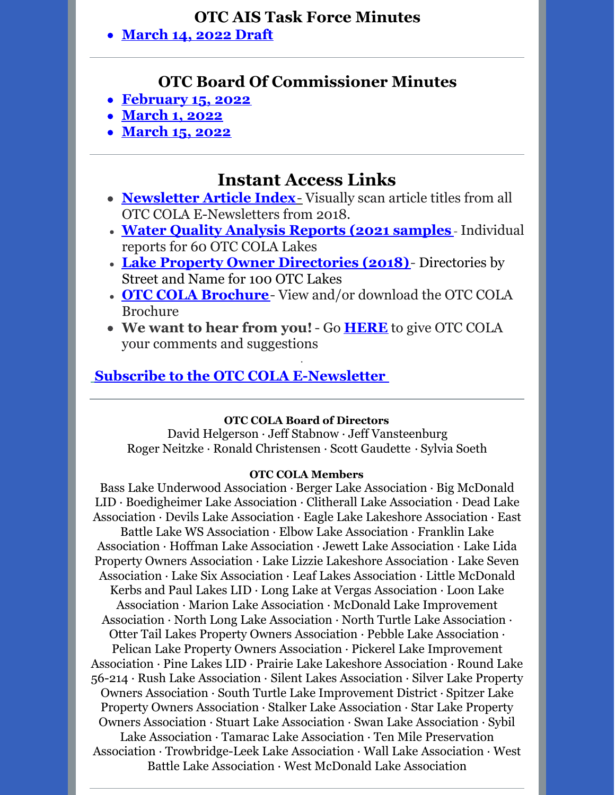#### **OTC AIS Task Force Minutes**

**[March](https://drive.google.com/file/d/1mlUMjruQ_VCYCTOlDHtfVTBLFJEnzZpl/view?usp=sharing) 14, 2022 Draft**

#### **OTC Board Of Commissioner Minutes**

- **[February](https://drive.google.com/file/d/11BcYLU4mgDNHY1baCogf1MuHxzDgSiz3/view?usp=sharing) 15, 2022**
- **[March](https://drive.google.com/file/d/1VHrOKBuUFYttZvAT0J8BJPFGhlEL00oy/view?usp=sharing) 1, 2022**
- **[March](https://drive.google.com/file/d/1AJCalpjTshP2BSikpxuS6gKw5lS7CDAg/view?usp=sharing) 15, 2022**

## **Instant Access Links**

- **[Newsletter](http://ottertailcountycola.org/newsletter-article-index/) Article Index**[-](http://ottertailcountycola.org/newsletter-article-index/) Visually scan article titles from all OTC COLA E-Newsletters from 2018.
- **Water Quality [Analysis](https://drive.google.com/drive/folders/1oA6fyrRi-Y3ivybRbmdV946LQXNbcm68?usp=sharing) Reports (2021 samples** Individual reports for 60 OTC COLA Lakes
- **Lake Property Owner [Directories](https://drive.google.com/open?id=1GCTdWuN6D8sSS4Iw5CYs7fx7chTky50k) (2018)** Directories by Street and Name for 100 OTC Lakes
- **OTC COLA [Brochure](https://drive.google.com/file/d/1tXrr7qPbdu57FgRruJJMFV2ord41bZ6c/view)** View and/or download the OTC COLA Brochure
- **We want to hear from you!** Go **[HERE](https://docs.google.com/forms/d/1_MZboIZW-MQjHWOUqNoiWn7LF5UJYDgRdfbq_YjrnbQ/edit)** to give OTC COLA your comments and suggestions

·

#### **Subscribe to the OTC COLA [E-Newsletter](https://visitor.r20.constantcontact.com/manage/optin?v=0016gC_WI-CN4wJGUJJs_h_8KsqP7MC2fcs7W09oo_pAVQ1J8LhVLzIBEu4Y05wryo5wL9_Dw-DtniZtwdShRl7vaxtqlwvLHBfglNlDCTnfGl3Mmf7fbD9Etutq4bsOdomX3vXwRa1qTKbkwzBvxir_sI9jo8YH3uaUp8jFsP9MM4%3D&id=preview)**

#### **OTC COLA Board of Directors**

David Helgerson ∙ Jeff Stabnow ∙ Jeff Vansteenburg Roger Neitzke ∙ Ronald Christensen ∙ Scott Gaudette ∙ Sylvia Soeth

#### **OTC COLA Members**

Bass Lake Underwood Association ∙ Berger Lake Association ∙ Big McDonald LID ∙ Boedigheimer Lake Association ∙ Clitherall Lake Association ∙ Dead Lake Association ∙ Devils Lake Association ∙ Eagle Lake Lakeshore Association ∙ East Battle Lake WS Association ∙ Elbow Lake Association ∙ Franklin Lake Association ∙ Hoffman Lake Association ∙ Jewett Lake Association ∙ Lake Lida Property Owners Association ∙ Lake Lizzie Lakeshore Association ∙ Lake Seven Association ∙ Lake Six Association ∙ Leaf Lakes Association ∙ Little McDonald Kerbs and Paul Lakes LID ∙ Long Lake at Vergas Association ∙ Loon Lake Association ∙ Marion Lake Association ∙ McDonald Lake Improvement Association ∙ North Long Lake Association ∙ North Turtle Lake Association ∙ Otter Tail Lakes Property Owners Association ∙ Pebble Lake Association ∙ Pelican Lake Property Owners Association ∙ Pickerel Lake Improvement Association ∙ Pine Lakes LID ∙ Prairie Lake Lakeshore Association ∙ Round Lake 56-214 ∙ Rush Lake Association ∙ Silent Lakes Association ∙ Silver Lake Property Owners Association ∙ South Turtle Lake Improvement District ∙ Spitzer Lake Property Owners Association ∙ Stalker Lake Association ∙ Star Lake Property Owners Association ∙ Stuart Lake Association ∙ Swan Lake Association ∙ Sybil Lake Association ∙ Tamarac Lake Association ∙ Ten Mile Preservation Association ∙ Trowbridge-Leek Lake Association ∙ Wall Lake Association ∙ West Battle Lake Association ∙ West McDonald Lake Association